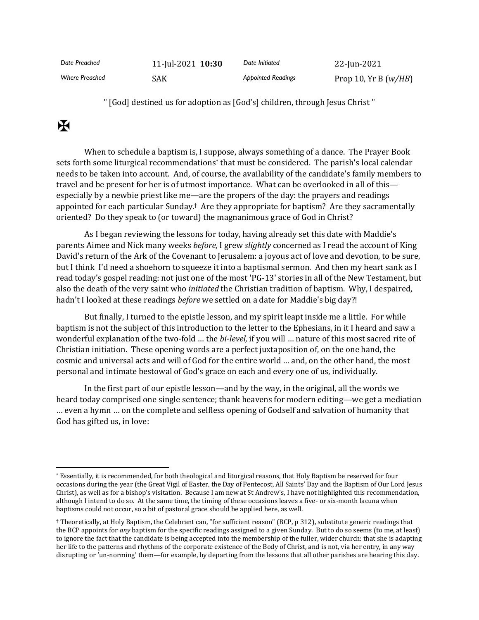| Date Preached         | 11-Jul-2021 10:30 | Date Initiated            | 22-Jun-2021            |
|-----------------------|-------------------|---------------------------|------------------------|
| <b>Where Preached</b> | SAK               | <b>Appointed Readings</b> | Prop 10, Yr B $(w/HB)$ |

" [God] destined us for adoption as [God's] children, through Jesus Christ "

## $\mathbf K$

When to schedule a baptism is, I suppose, always something of a dance. The Prayer Book sets forth some liturgical recommendations\* that must be considered. The parish's local calendar needs to be taken into account. And, of course, the availability of the candidate's family members to travel and be present for her is of utmost importance. What can be overlooked in all of this especially by a newbie priest like me—are the propers of the day: the prayers and readings appointed for each particular Sunday.† Are they appropriate for baptism? Are they sacramentally oriented? Do they speak to (or toward) the magnanimous grace of God in Christ?

As I began reviewing the lessons for today, having already set this date with Maddie's parents Aimee and Nick many weeks *before,* I grew *slightly* concerned as I read the account of King David's return of the Ark of the Covenant to Jerusalem: a joyous act of love and devotion, to be sure, but I think I'd need a shoehorn to squeeze it into a baptismal sermon. And then my heart sank as I read today's gospel reading: not just one of the most 'PG-13' stories in all of the New Testament, but also the death of the very saint who *initiated* the Christian tradition of baptism. Why, I despaired, hadn't I looked at these readings *before* we settled on a date for Maddie's big day?!

But finally, I turned to the epistle lesson, and my spirit leapt inside me a little. For while baptism is not the subject of this introduction to the letter to the Ephesians, in it I heard and saw a wonderful explanation of the two-fold … the *bi-level,* if you will … nature of this most sacred rite of Christian initiation. These opening words are a perfect juxtaposition of, on the one hand, the cosmic and universal acts and will of God for the entire world … and, on the other hand, the most personal and intimate bestowal of God's grace on each and every one of us, individually.

In the first part of our epistle lesson—and by the way, in the original, all the words we heard today comprised one single sentence; thank heavens for modern editing—we get a mediation … even a hymn … on the complete and selfless opening of Godself and salvation of humanity that God has gifted us, in love:

<sup>\*</sup> Essentially, it is recommended, for both theological and liturgical reasons, that Holy Baptism be reserved for four occasions during the year (the Great Vigil of Easter, the Day of Pentecost, All Saints' Day and the Baptism of Our Lord Jesus Christ), as well as for a bishop's visitation. Because I am new at St Andrew's, I have not highlighted this recommendation, although I intend to do so. At the same time, the timing of these occasions leaves a five- or six-month lacuna when baptisms could not occur, so a bit of pastoral grace should be applied here, as well.

<sup>†</sup> Theoretically, at Holy Baptism, the Celebrant can, "for sufficient reason" (BCP, p 312), substitute generic readings that the BCP appoints for *any* baptism for the specific readings assigned to a given Sunday. But to do so seems (to me, at least) to ignore the fact that the candidate is being accepted into the membership of the fuller, wider church: that she is adapting her life to the patterns and rhythms of the corporate existence of the Body of Christ, and is not, via her entry, in any way disrupting or 'un-norming' them—for example, by departing from the lessons that all other parishes are hearing this day.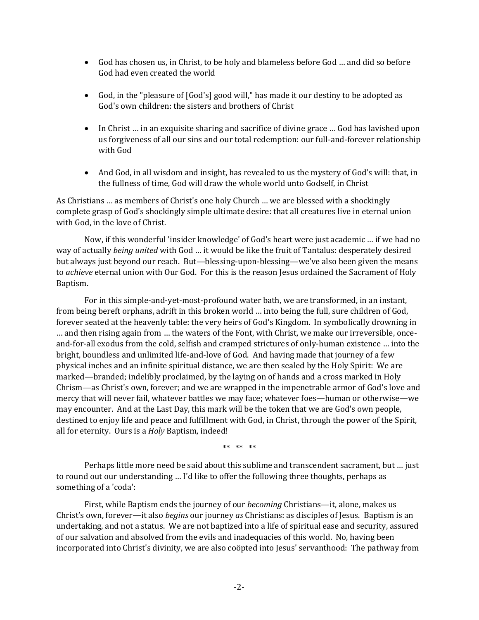- God has chosen us, in Christ, to be holy and blameless before God ... and did so before God had even created the world
- God, in the "pleasure of [God's] good will," has made it our destiny to be adopted as God's own children: the sisters and brothers of Christ
- In Christ … in an exquisite sharing and sacrifice of divine grace … God has lavished upon us forgiveness of all our sins and our total redemption: our full-and-forever relationship with God
- And God, in all wisdom and insight, has revealed to us the mystery of God's will: that, in the fullness of time, God will draw the whole world unto Godself, in Christ

As Christians … as members of Christ's one holy Church … we are blessed with a shockingly complete grasp of God's shockingly simple ultimate desire: that all creatures live in eternal union with God, in the love of Christ.

Now, if this wonderful 'insider knowledge' of God's heart were just academic … if we had no way of actually *being united* with God … it would be like the fruit of Tantalus: desperately desired but always just beyond our reach. But—blessing-upon-blessing—we've also been given the means to *achieve* eternal union with Our God. For this is the reason Jesus ordained the Sacrament of Holy Baptism.

For in this simple-and-yet-most-profound water bath, we are transformed, in an instant, from being bereft orphans, adrift in this broken world … into being the full, sure children of God, forever seated at the heavenly table: the very heirs of God's Kingdom. In symbolically drowning in … and then rising again from … the waters of the Font, with Christ, we make our irreversible, onceand-for-all exodus from the cold, selfish and cramped strictures of only-human existence … into the bright, boundless and unlimited life-and-love of God. And having made that journey of a few physical inches and an infinite spiritual distance, we are then sealed by the Holy Spirit: We are marked—branded; indelibly proclaimed, by the laying on of hands and a cross marked in Holy Chrism—as Christ's own, forever; and we are wrapped in the impenetrable armor of God's love and mercy that will never fail, whatever battles we may face; whatever foes—human or otherwise—we may encounter. And at the Last Day, this mark will be the token that we are God's own people, destined to enjoy life and peace and fulfillment with God, in Christ, through the power of the Spirit, all for eternity. Ours is a *Holy* Baptism, indeed!

\*\* \*\* \*\*

Perhaps little more need be said about this sublime and transcendent sacrament, but … just to round out our understanding … I'd like to offer the following three thoughts, perhaps as something of a 'coda':

First, while Baptism ends the journey of our *becoming* Christians—it, alone, makes us Christ's own, forever—it also *begins* our journey *as* Christians: as disciples of Jesus. Baptism is an undertaking, and not a status. We are not baptized into a life of spiritual ease and security, assured of our salvation and absolved from the evils and inadequacies of this world. No, having been incorporated into Christ's divinity, we are also coöpted into Jesus' servanthood: The pathway from